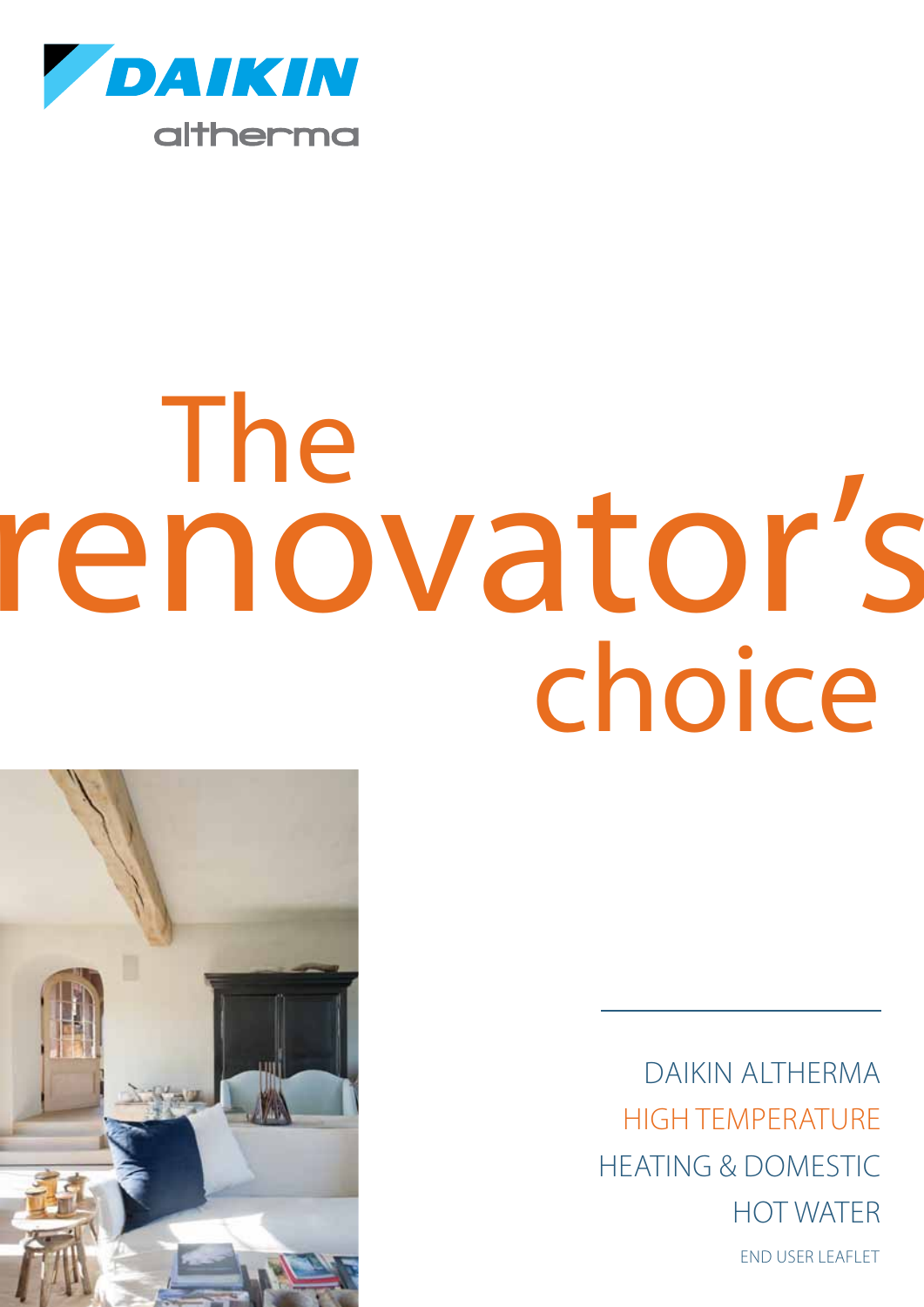

# choice The renovator's



DAikin Altherma high temperature heating & domestic hot water end user leaflet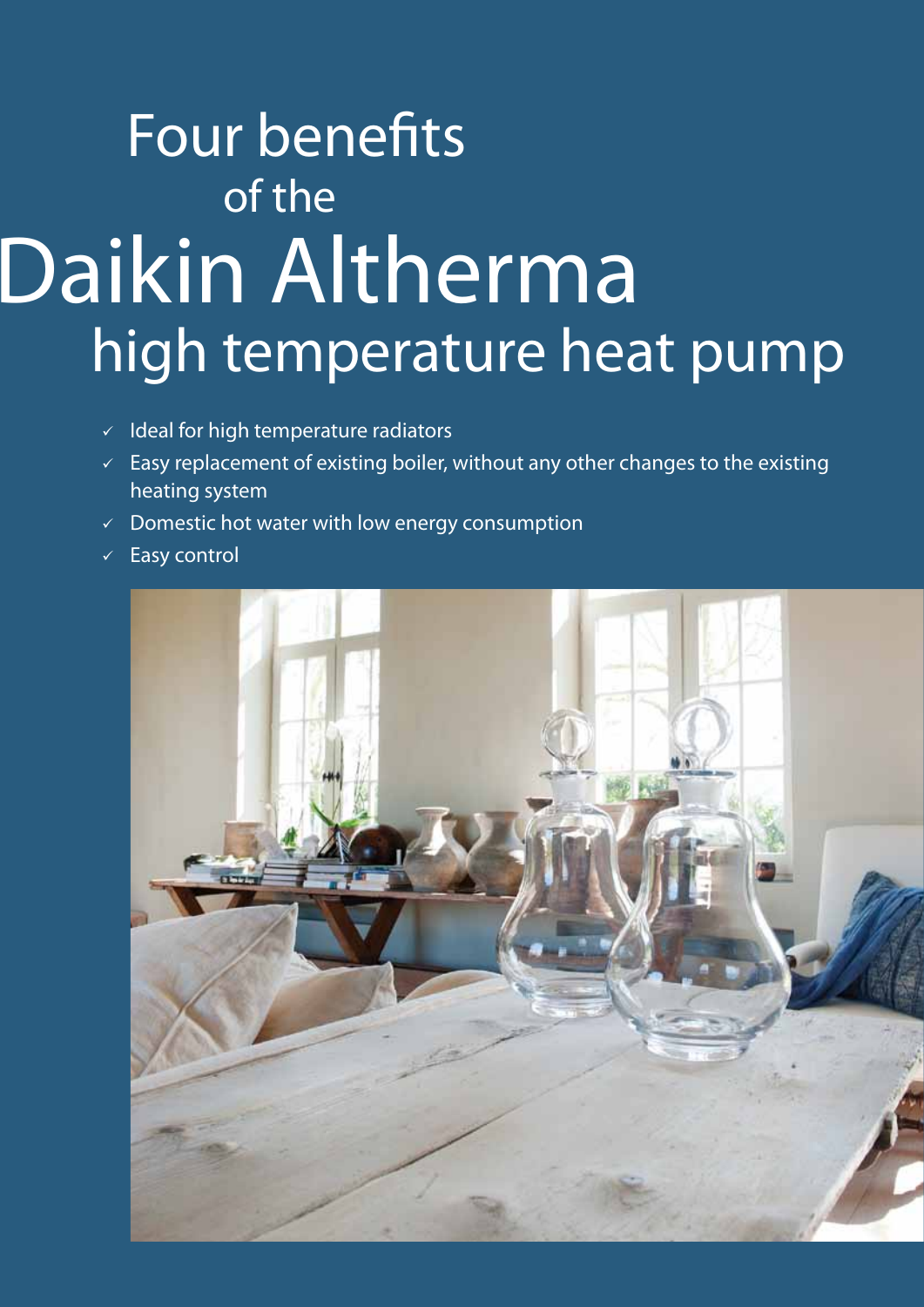### Daikin Altherma high temperature heat pump Four benefits of the

- $\checkmark$  Ideal for high temperature radiators
- $\sqrt{2}$  Easy replacement of existing boiler, without any other changes to the existing heating system
- $\checkmark$  Domestic hot water with low energy consumption
- $\checkmark$  Easy control

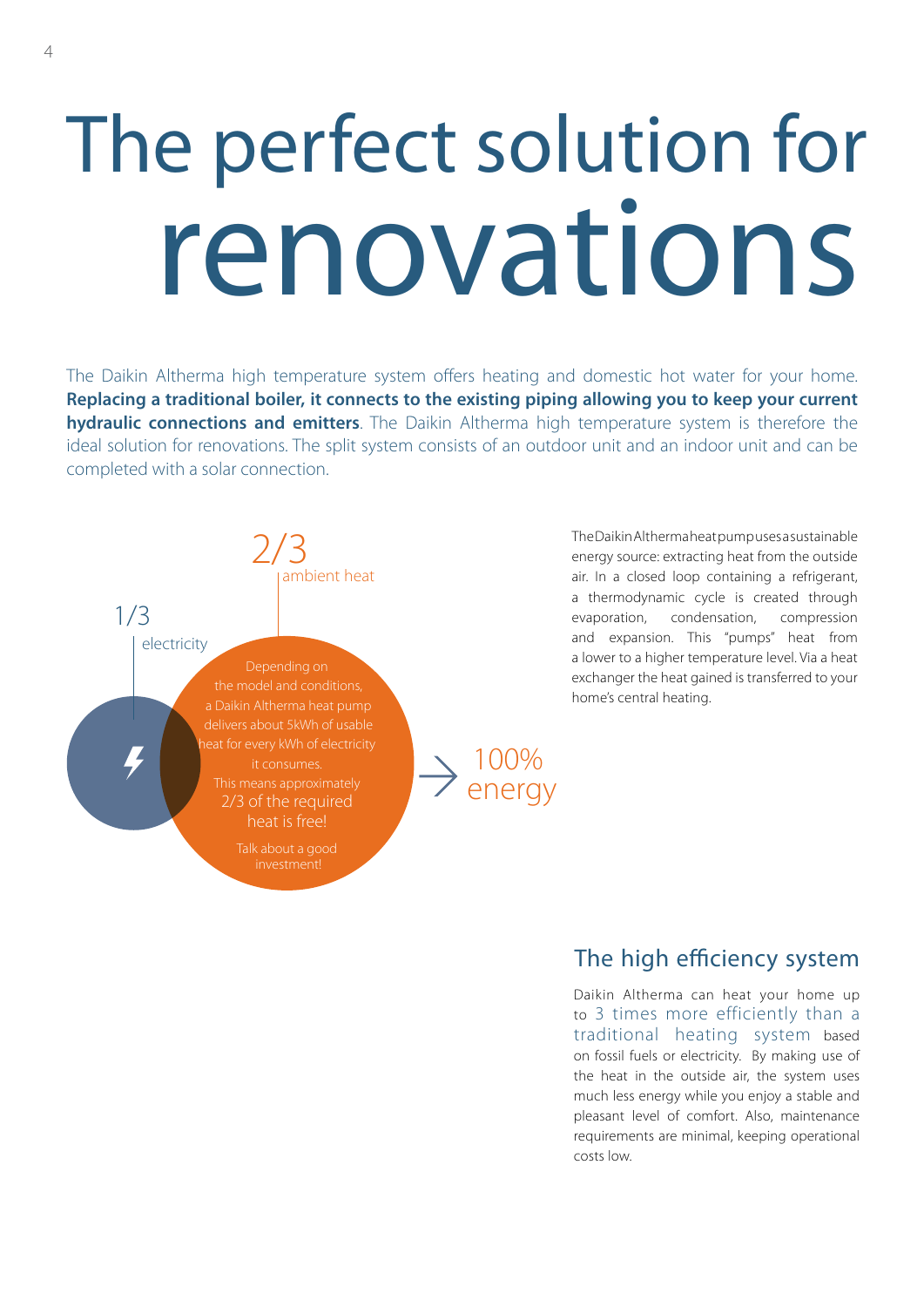## The perfect solution for renovations

The Daikin Altherma high temperature system offers heating and domestic hot water for your home. **Replacing a traditional boiler, it connects to the existing piping allowing you to keep your current hydraulic connections and emitters**. The Daikin Altherma high temperature system is therefore the ideal solution for renovations. The split system consists of an outdoor unit and an indoor unit and can be completed with a solar connection.



The Daikin Altherma heat pump uses a sustainable energy source: extracting heat from the outside air. In a closed loop containing a refrigerant, a thermodynamic cycle is created through evaporation, condensation, compression and expansion. This "pumps" heat from a lower to a higher temperature level. Via a heat exchanger the heat gained is transferred to your home's central heating.

#### The high efficiency system

Daikin Altherma can heat your home up to 3 times more efficiently than a traditional heating system based on fossil fuels or electricity. By making use of the heat in the outside air, the system uses much less energy while you enjoy a stable and pleasant level of comfort. Also, maintenance requirements are minimal, keeping operational costs low.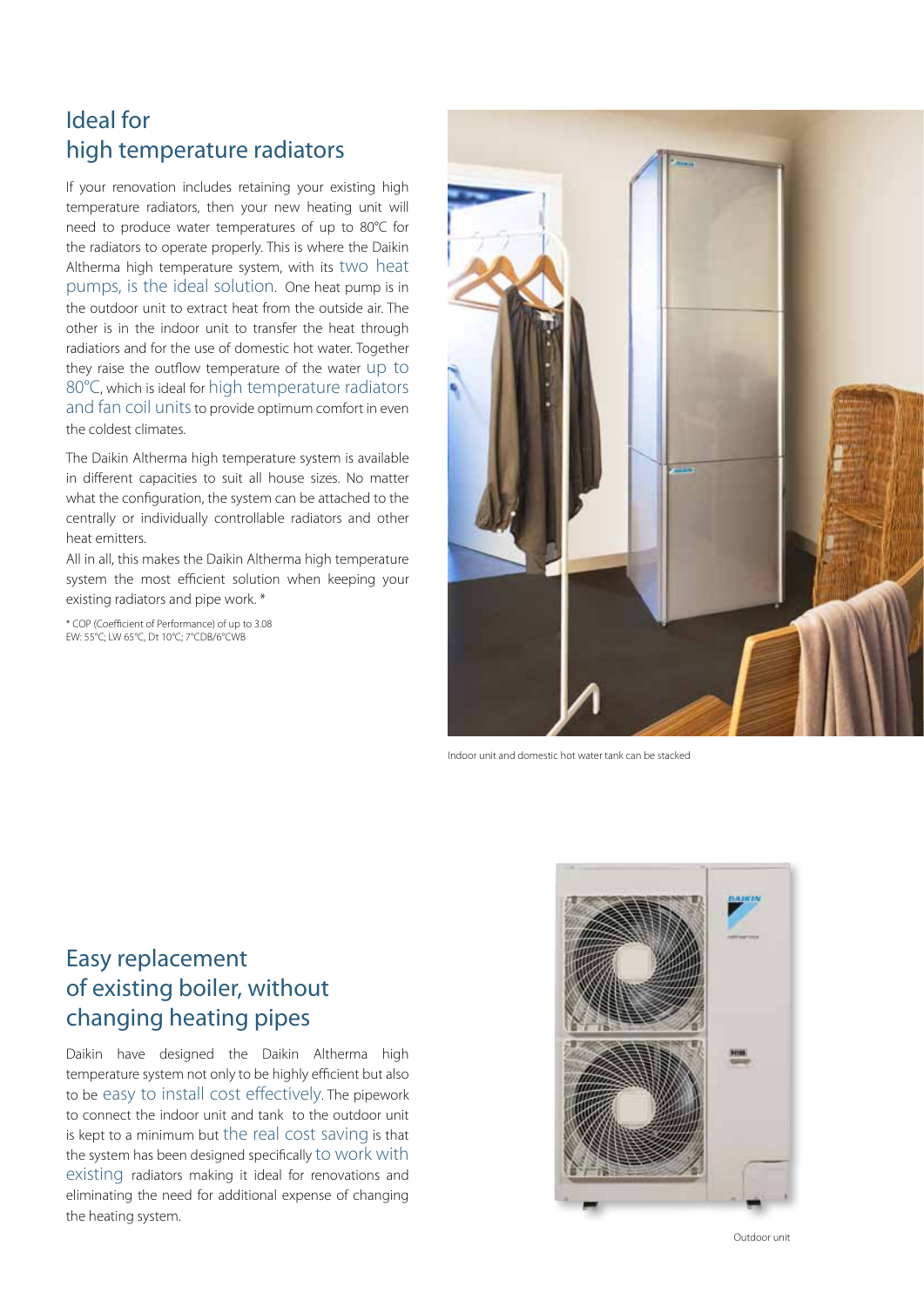#### Ideal for high temperature radiators

If your renovation includes retaining your existing high temperature radiators, then your new heating unit will need to produce water temperatures of up to 80°C for the radiators to operate properly. This is where the Daikin Altherma high temperature system, with its two heat pumps, is the ideal solution. One heat pump is in the outdoor unit to extract heat from the outside air. The other is in the indoor unit to transfer the heat through radiatiors and for the use of domestic hot water. Together they raise the outflow temperature of the water up to 80°C, which is ideal for high temperature radiators and fan coil units to provide optimum comfort in even the coldest climates.

The Daikin Altherma high temperature system is available in different capacities to suit all house sizes. No matter what the configuration, the system can be attached to the centrally or individually controllable radiators and other heat emitters.

All in all, this makes the Daikin Altherma high temperature system the most efficient solution when keeping your existing radiators and pipe work. \*

\* COP (Coefficient of Performance) of up to 3.08 EW: 55°C; LW 65°C, Dt 10°C; 7°CDB/6°CWB



Indoor unit and domestic hot water tank can be stacked

#### Easy replacement of existing boiler, without changing heating pipes

Daikin have designed the Daikin Altherma high temperature system not only to be highly efficient but also to be easy to install cost effectively. The pipework to connect the indoor unit and tank to the outdoor unit is kept to a minimum but the real cost saving is that the system has been designed specifically to work with existing radiators making it ideal for renovations and eliminating the need for additional expense of changing the heating system.



Outdoor unit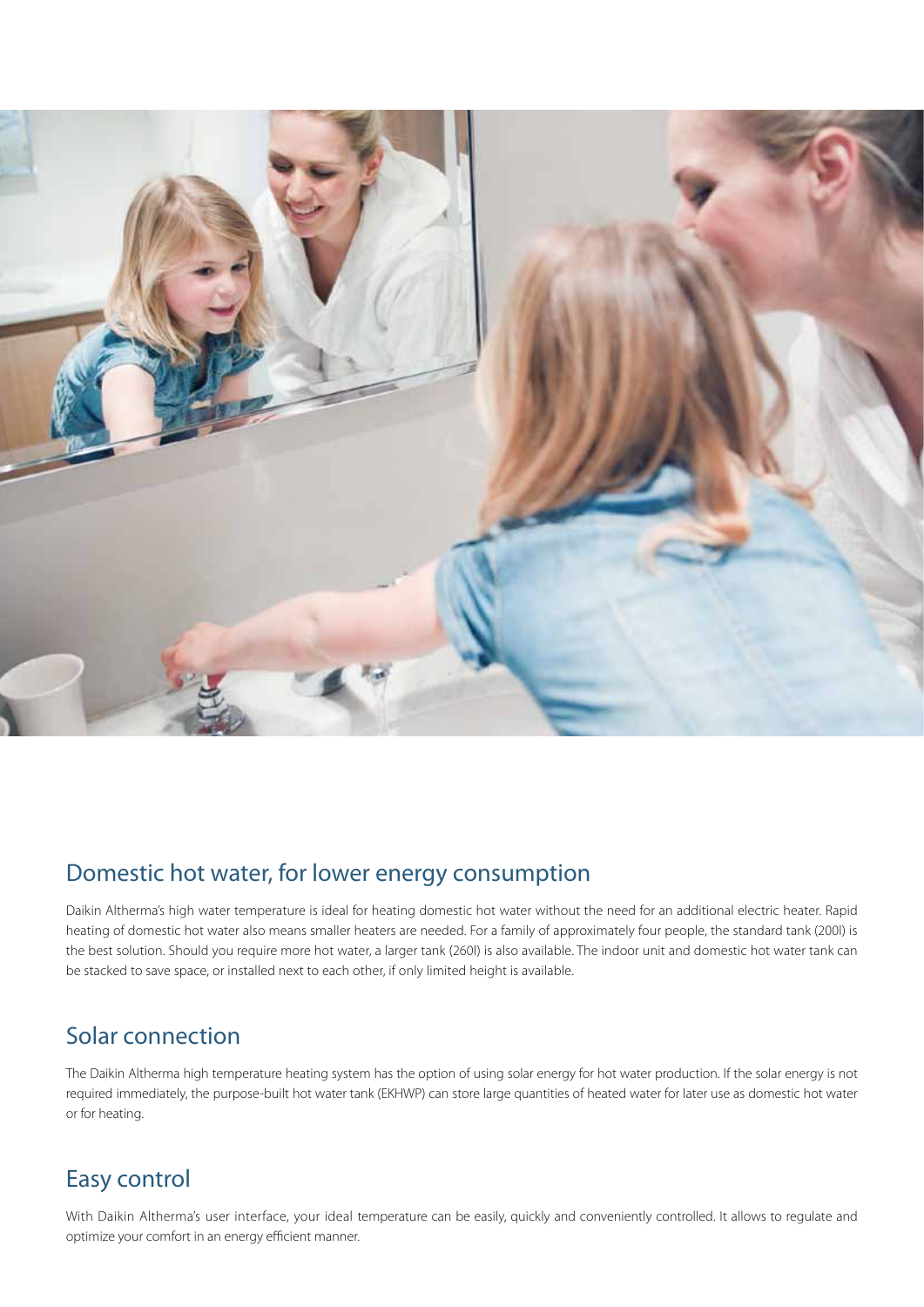

#### Domestic hot water, for lower energy consumption

Daikin Altherma's high water temperature is ideal for heating domestic hot water without the need for an additional electric heater. Rapid heating of domestic hot water also means smaller heaters are needed. For a family of approximately four people, the standard tank (200l) is the best solution. Should you require more hot water, a larger tank (260l) is also available. The indoor unit and domestic hot water tank can be stacked to save space, or installed next to each other, if only limited height is available.

#### Solar connection

The Daikin Altherma high temperature heating system has the option of using solar energy for hot water production. If the solar energy is not required immediately, the purpose-built hot water tank (EKHWP) can store large quantities of heated water for later use as domestic hot water or for heating.

#### Easy control

With Daikin Altherma's user interface, your ideal temperature can be easily, quickly and conveniently controlled. It allows to regulate and optimize your comfort in an energy efficient manner.